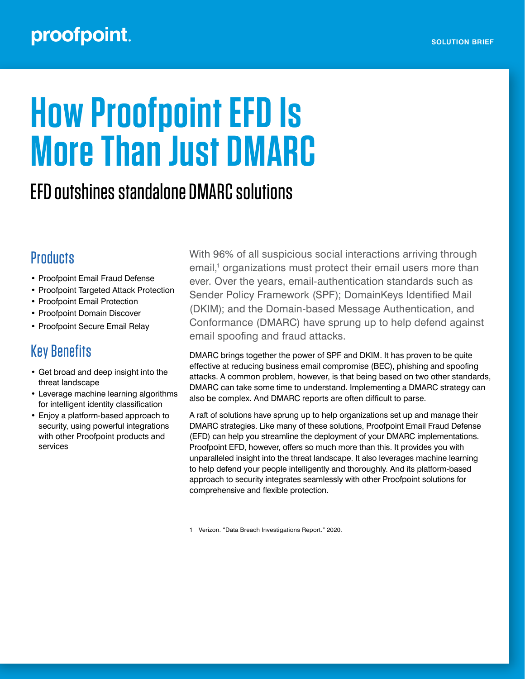### proofpoint.

# **How Proofpoint EFD Is More Than Just DMARC**

## EFD outshines standalone DMARC solutions

#### **Products**

- Proofpoint Email Fraud Defense
- Proofpoint Targeted Attack Protection
- Proofpoint Email Protection
- Proofpoint Domain Discover
- Proofpoint Secure Email Relay

#### Key Benefits

- Get broad and deep insight into the threat landscape
- Leverage machine learning algorithms for intelligent identity classification
- Enjoy a platform-based approach to security, using powerful integrations with other Proofpoint products and services

With 96% of all suspicious social interactions arriving through email,<sup>1</sup> organizations must protect their email users more than ever. Over the years, email-authentication standards such as Sender Policy Framework (SPF); DomainKeys Identified Mail (DKIM); and the Domain-based Message Authentication, and Conformance (DMARC) have sprung up to help defend against email spoofing and fraud attacks.

DMARC brings together the power of SPF and DKIM. It has proven to be quite effective at reducing business email compromise (BEC), phishing and spoofing attacks. A common problem, however, is that being based on two other standards, DMARC can take some time to understand. Implementing a DMARC strategy can also be complex. And DMARC reports are often difficult to parse.

A raft of solutions have sprung up to help organizations set up and manage their DMARC strategies. Like many of these solutions, Proofpoint Email Fraud Defense (EFD) can help you streamline the deployment of your DMARC implementations. Proofpoint EFD, however, offers so much more than this. It provides you with unparalleled insight into the threat landscape. It also leverages machine learning to help defend your people intelligently and thoroughly. And its platform-based approach to security integrates seamlessly with other Proofpoint solutions for comprehensive and flexible protection.

1 Verizon. "Data Breach Investigations Report." 2020.